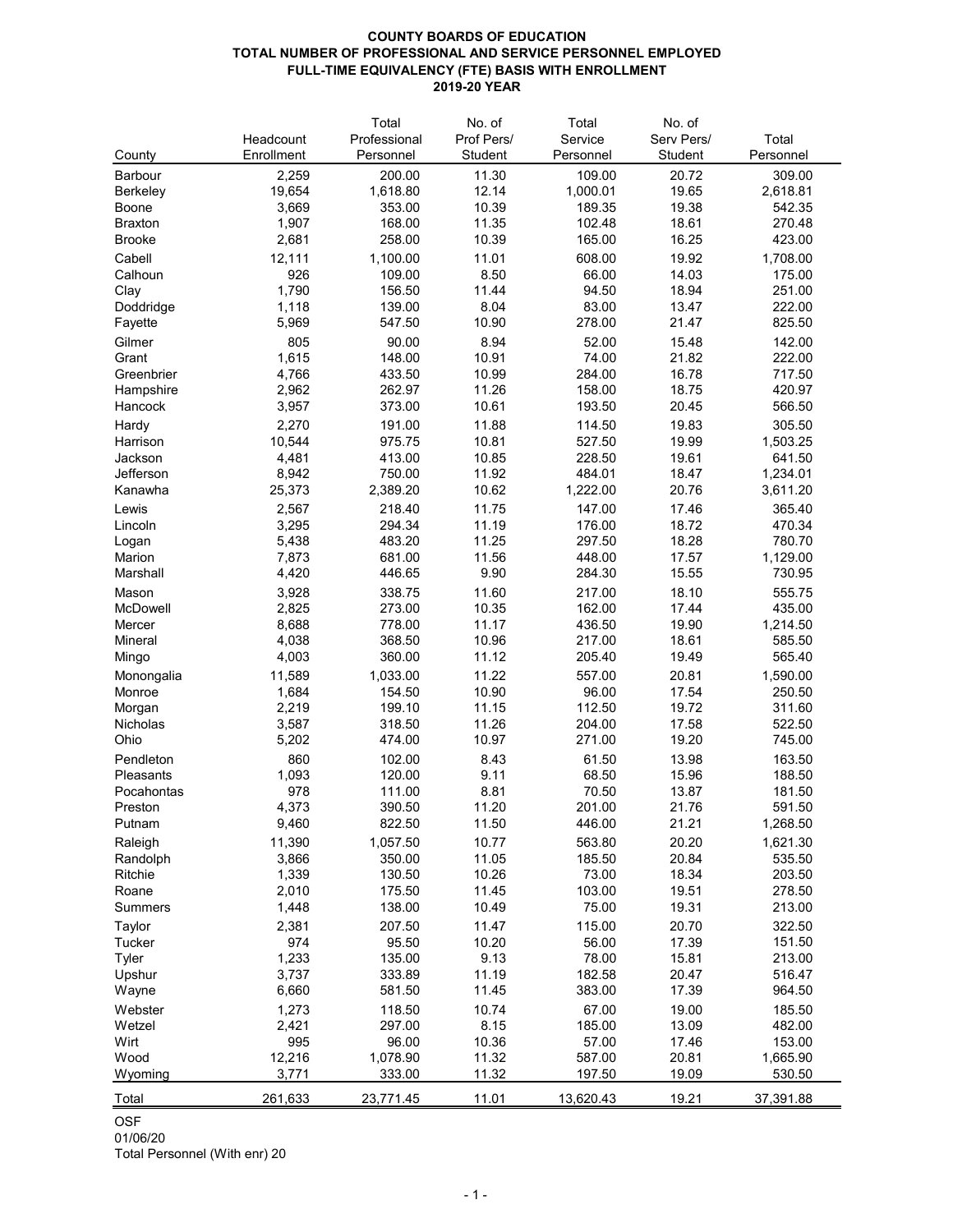### **COUNTY BOARDS OF EDUCATION TOTAL NUMBER OF PROFESSIONAL AND SERVICE PERSONNEL EMPLOYED FULL-TIME EQUIVALENCY (FTE) BASIS WITH ENROLLMENT 2019-20 YEAR**

|                      |                | Total        | No. of         | Total           | No. of         |                  |
|----------------------|----------------|--------------|----------------|-----------------|----------------|------------------|
|                      | Headcount      | Professional | Prof Pers/     | Service         | Serv Pers/     | Total            |
| County               | Enrollment     | Personnel    | <b>Student</b> | Personnel       | Student        | Personnel        |
| <b>Barbour</b>       | 2,259          | 200.00       | 11.30          | 109.00          | 20.72          | 309.00           |
| <b>Berkeley</b>      | 19,654         | 1,618.80     | 12.14          | 1,000.01        | 19.65          | 2,618.81         |
| <b>Boone</b>         | 3,669          | 353.00       | 10.39          | 189.35          | 19.38          | 542.35           |
| <b>Braxton</b>       | 1,907          | 168.00       | 11.35          | 102.48          | 18.61          | 270.48           |
| <b>Brooke</b>        | 2,681          | 258.00       | 10.39          | 165.00          | 16.25          | 423.00           |
| Cabell               | 12,111         | 1,100.00     | 11.01          | 608.00          | 19.92          | 1,708.00         |
| Calhoun              | 926            | 109.00       | 8.50           | 66.00           | 14.03          | 175.00           |
| Clay                 | 1,790          | 156.50       | 11.44          | 94.50           | 18.94          | 251.00           |
| Doddridge            | 1,118          | 139.00       | 8.04           | 83.00           | 13.47          | 222.00           |
| Fayette              | 5,969          | 547.50       | 10.90          | 278.00          | 21.47          | 825.50           |
| Gilmer               | 805            | 90.00        | 8.94           | 52.00           | 15.48          | 142.00           |
| Grant                | 1,615          | 148.00       | 10.91          | 74.00           | 21.82          | 222.00           |
| Greenbrier           | 4,766          | 433.50       | 10.99          | 284.00          | 16.78          | 717.50           |
|                      |                | 262.97       | 11.26          | 158.00          | 18.75          | 420.97           |
| Hampshire<br>Hancock | 2,962<br>3,957 | 373.00       | 10.61          | 193.50          | 20.45          | 566.50           |
|                      |                |              |                |                 |                |                  |
| Hardy                | 2,270          | 191.00       | 11.88          | 114.50          | 19.83          | 305.50           |
| Harrison             | 10,544         | 975.75       | 10.81          | 527.50          | 19.99          | 1,503.25         |
| Jackson              | 4,481          | 413.00       | 10.85          | 228.50          | 19.61          | 641.50           |
| Jefferson            | 8,942          | 750.00       | 11.92          | 484.01          | 18.47          | 1,234.01         |
| Kanawha              | 25,373         | 2,389.20     | 10.62          | 1,222.00        | 20.76          | 3,611.20         |
| Lewis                | 2,567          | 218.40       | 11.75          | 147.00          | 17.46          | 365.40           |
| Lincoln              | 3,295          | 294.34       | 11.19          | 176.00          | 18.72          | 470.34           |
| Logan                | 5,438          | 483.20       | 11.25          | 297.50          | 18.28          | 780.70           |
| Marion               | 7,873          | 681.00       | 11.56          | 448.00          | 17.57          | 1,129.00         |
| Marshall             | 4,420          | 446.65       | 9.90           | 284.30          | 15.55          | 730.95           |
| Mason                | 3,928          | 338.75       | 11.60          | 217.00          | 18.10          | 555.75           |
| McDowell             | 2,825          | 273.00       | 10.35          | 162.00          | 17.44          | 435.00           |
| Mercer               | 8,688          | 778.00       | 11.17          | 436.50          | 19.90          | 1,214.50         |
| <b>Mineral</b>       | 4,038          | 368.50       | 10.96          | 217.00          | 18.61          | 585.50           |
| Mingo                | 4,003          | 360.00       | 11.12          | 205.40          | 19.49          | 565.40           |
| Monongalia           | 11,589         | 1,033.00     | 11.22          | 557.00          | 20.81          | 1,590.00         |
| Monroe               | 1,684          | 154.50       | 10.90          | 96.00           | 17.54          | 250.50           |
| Morgan               | 2,219          | 199.10       | 11.15          | 112.50          | 19.72          | 311.60           |
| <b>Nicholas</b>      | 3,587          | 318.50       | 11.26          | 204.00          | 17.58          | 522.50           |
| Ohio                 | 5,202          | 474.00       | 10.97          | 271.00          | 19.20          | 745.00           |
| Pendleton            | 860            | 102.00       | 8.43           | 61.50           | 13.98          | 163.50           |
| Pleasants            | 1,093          | 120.00       | 9.11           | 68.50           | 15.96          | 188.50           |
| Pocahontas           | 978            | 111.00       | 8.81           | 70.50           | 13.87          | 181.50           |
| Preston              | 4,373          | 390.50       | 11.20          | 201.00          | 21.76          | 591.50           |
| Putnam               | 9,460          | 822.50       | 11.50          | 446.00          | 21.21          | 1,268.50         |
| Raleigh              | 11,390         | 1,057.50     | 10.77          | 563.80          | 20.20          | 1,621.30         |
| Randolph             | 3,866          | 350.00       | 11.05          | 185.50          | 20.84          | 535.50           |
|                      |                |              |                |                 |                |                  |
| <b>Ritchie</b>       | 1,339          | 130.50       | 10.26<br>11.45 | 73.00<br>103.00 | 18.34<br>19.51 | 203.50<br>278.50 |
| Roane                | 2,010          | 175.50       |                |                 |                |                  |
| <b>Summers</b>       | 1,448          | 138.00       | 10.49          | 75.00           | 19.31          | 213.00           |
| <b>Taylor</b>        | 2,381          | 207.50       | 11.47          | 115.00          | 20.70          | 322.50           |
| <b>Tucker</b>        | 974            | 95.50        | 10.20          | 56.00           | 17.39          | 151.50           |
| <b>Tyler</b>         | 1,233          | 135.00       | 9.13           | 78.00           | 15.81          | 213.00           |
| Upshur               | 3,737          | 333.89       | 11.19          | 182.58          | 20.47          | 516.47           |

| Wayne   | 6,660   | 581.50    | 11.45 | 383.00    | 17.39 | 964.50    |
|---------|---------|-----------|-------|-----------|-------|-----------|
| Webster | 1,273   | 118.50    | 10.74 | 67.00     | 19.00 | 185.50    |
| Wetzel  | 2,421   | 297.00    | 8.15  | 185.00    | 13.09 | 482.00    |
| Wirt    | 995     | 96.00     | 10.36 | 57.00     | 17.46 | 153.00    |
| Wood    | 12,216  | 1,078.90  | 11.32 | 587.00    | 20.81 | 1,665.90  |
| Wyoming | 3,771   | 333.00    | 11.32 | 197.50    | 19.09 | 530.50    |
| Total   | 261,633 | 23,771.45 | 11.01 | 13,620.43 | 19.21 | 37,391.88 |
|         |         |           |       |           |       |           |

## OSF

01/06/20 Total Personnel (With enr) 20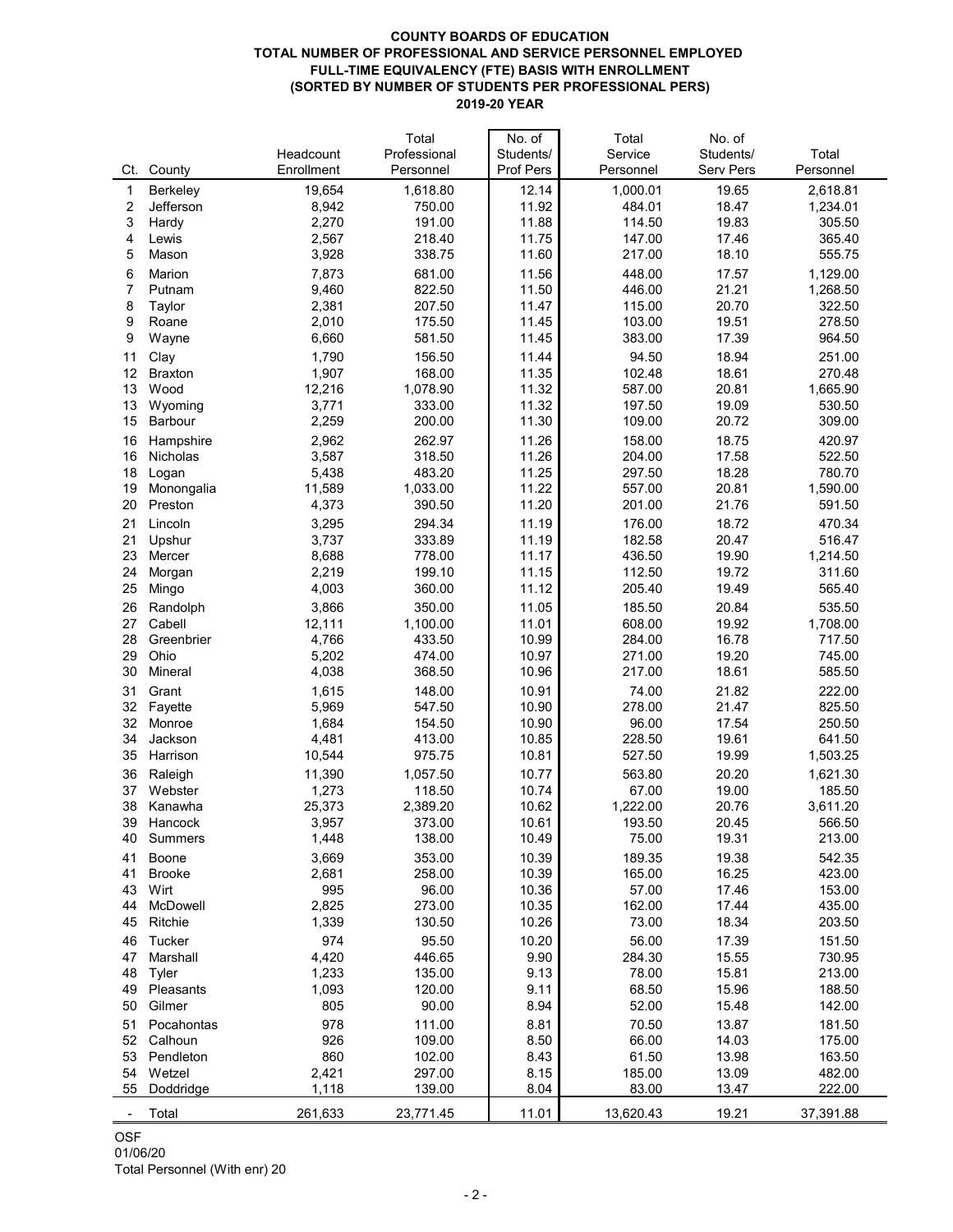#### **COUNTY BOARDS OF EDUCATION TOTAL NUMBER OF PROFESSIONAL AND SERVICE PERSONNEL EMPLOYED FULL-TIME EQUIVALENCY (FTE) BASIS WITH ENROLLMENT (SORTED BY NUMBER OF STUDENTS PER PROFESSIONAL PERS) 2019-20 YEAR**

| Professional<br>Students/<br>Service<br>Headcount                         | Students/<br><b>Serv Pers</b> | Total     |
|---------------------------------------------------------------------------|-------------------------------|-----------|
|                                                                           |                               |           |
| <b>Prof Pers</b><br>Enrollment<br>Ct.<br>County<br>Personnel<br>Personnel |                               | Personnel |
| 19,654<br>1,618.80<br>12.14<br>1,000.01<br><b>Berkeley</b><br>1           | 19.65                         | 2,618.81  |
| 8,942<br>750.00<br>11.92<br>484.01<br>Jefferson<br>2                      | 18.47                         | 1,234.01  |
| 2,270<br>3<br>191.00<br>11.88<br>114.50<br>Hardy                          | 19.83                         | 305.50    |
| 2,567<br>218.40<br>11.75<br>147.00<br>Lewis<br>4                          | 17.46                         | 365.40    |
| 3,928<br>11.60<br>217.00<br>5<br>338.75<br>Mason                          | 18.10                         | 555.75    |
| 7,873<br>681.00<br>11.56<br>448.00<br>6<br><b>Marion</b>                  | 17.57                         | 1,129.00  |
| 9,460<br>822.50<br>11.50<br>446.00<br>7<br>Putnam                         | 21.21                         | 1,268.50  |
| 2,381<br>207.50<br>115.00<br>11.47<br>8<br>Taylor                         | 20.70                         | 322.50    |
| 2,010<br>175.50<br>103.00<br>11.45<br>9<br>Roane                          | 19.51                         | 278.50    |
| 9<br>6,660<br>581.50<br>11.45<br>383.00<br>Wayne                          | 17.39                         | 964.50    |
| 1,790<br>156.50<br>Clay<br>11.44<br>94.50<br>11                           | 18.94                         | 251.00    |
| 12<br>1,907<br>168.00<br>11.35<br>102.48<br><b>Braxton</b>                | 18.61                         | 270.48    |
| 13<br>Wood<br>12,216<br>1,078.90<br>11.32<br>587.00                       | 20.81                         | 1,665.90  |
| 13<br>3,771<br>333.00<br>11.32<br>197.50<br>Wyoming                       | 19.09                         | 530.50    |
| 15<br>2,259<br>11.30<br>109.00<br><b>Barbour</b><br>200.00                | 20.72                         | 309.00    |
| 2,962<br>262.97<br>11.26<br>158.00<br>16<br>Hampshire                     | 18.75                         | 420.97    |
| 16<br>3,587<br>318.50<br>11.26<br>204.00<br><b>Nicholas</b>               | 17.58                         | 522.50    |
| 18<br>5,438<br>483.20<br>11.25<br>297.50<br>Logan                         | 18.28                         | 780.70    |
| 11,589<br>11.22<br>19<br>1,033.00<br>557.00<br>Monongalia                 | 20.81                         | 1,590.00  |
| 11.20<br>201.00<br>20<br>Preston<br>4,373<br>390.50                       | 21.76                         | 591.50    |
| 3,295<br>11.19<br>176.00<br>294.34<br>21<br>Lincoln                       | 18.72                         | 470.34    |
| 21<br>3,737<br>333.89<br>182.58<br>11.19<br>Upshur                        | 20.47                         | 516.47    |
| 23<br>8,688<br>778.00<br>11.17<br>436.50<br>Mercer                        | 19.90                         | 1,214.50  |
| 2,219<br>199.10<br>112.50<br>24<br>11.15<br>Morgan                        | 19.72                         | 311.60    |
| 25<br>Mingo<br>4,003<br>11.12<br>360.00<br>205.40                         | 19.49                         | 565.40    |
| 11.05<br>3,866<br>350.00<br>185.50<br>26<br>Randolph                      | 20.84                         | 535.50    |
| Cabell<br>12,111<br>1,100.00<br>11.01<br>608.00<br>27                     | 19.92                         | 1,708.00  |
| 10.99<br>4,766<br>433.50<br>284.00<br>28<br>Greenbrier                    | 16.78                         | 717.50    |
| 10.97<br>Ohio<br>5,202<br>474.00<br>271.00<br>29                          | 19.20                         | 745.00    |
| 4,038<br>368.50<br>30<br>10.96<br>217.00<br><b>Mineral</b>                | 18.61                         | 585.50    |
| 1,615<br>10.91<br>148.00<br>74.00<br>31<br>Grant                          | 21.82                         | 222.00    |
| 5,969<br>547.50<br>10.90<br>278.00<br>32<br>Fayette                       | 21.47                         | 825.50    |
| 96.00<br>32<br>1,684<br>154.50<br>10.90<br>Monroe                         | 17.54                         | 250.50    |
| 10.85<br>34<br>4,481<br>413.00<br>228.50<br>Jackson                       | 19.61                         | 641.50    |
| 10,544<br>10.81<br>35<br>975.75<br>527.50<br>Harrison                     | 19.99                         | 1,503.25  |
| 11,390<br>1,057.50<br>10.77<br>563.80<br>36<br>Raleigh                    | 20.20                         | 1,621.30  |
| 1,273<br>10.74<br>67.00<br>37<br>118.50<br>Webster                        | 19.00                         | 185.50    |
| 25,373<br>2,389.20<br>10.62<br>1,222.00<br>38<br>Kanawha                  | 20.76                         | 3,611.20  |
| 3,957<br>373.00<br>10.61<br>193.50<br>39<br>Hancock                       | 20.45                         | 566.50    |
| 1,448<br>138.00<br>10.49<br>40<br><b>Summers</b><br>75.00                 | 19.31                         | 213.00    |
| 3,669<br>353.00<br>10.39<br>189.35<br>41<br><b>Boone</b>                  | 19.38                         | 542.35    |
| 2,681<br>258.00<br>10.39<br>165.00<br>41<br><b>Brooke</b>                 | 16.25                         | 423.00    |
| 995<br>96.00<br>10.36<br>57.00<br>43<br>Wirt                              | 17.46                         | 153.00    |
| 2,825<br>273.00<br>10.35<br>162.00<br><b>McDowell</b><br>44               | 17.44                         | 435.00    |
| 10.26<br>45<br>Ritchie<br>1,339<br>130.50<br>73.00                        | 18.34                         | 203.50    |
| 974<br>10.20<br>95.50<br>56.00<br>46<br>Tucker                            | 17.39                         | 151.50    |
| 4,420<br>446.65<br>9.90<br>284.30<br>47<br>Marshall                       | 15.55                         | 730.95    |
| 1,233<br>9.13<br>48<br>135.00<br>78.00<br><b>Tyler</b>                    | 15.81                         | 213.00    |
| 1,093<br>68.50<br>49<br>120.00<br>9.11<br>Pleasants                       | 15.96                         | 188.50    |
| 805<br>90.00<br>52.00<br>50<br>Gilmer<br>8.94                             | 15.48                         | 142.00    |
| 978<br>111.00<br>8.81<br>Pocahontas<br>70.50<br>51                        | 13.87                         | 181.50    |
| 926<br>109.00<br>8.50<br>66.00<br>52<br>Calhoun                           | 14.03                         | 175.00    |
| 860<br>102.00<br>8.43<br>61.50<br>53<br>Pendleton                         | 13.98                         | 163.50    |
| 2,421<br>297.00<br>54<br>Wetzel<br>8.15<br>185.00                         | 13.09                         | 482.00    |
| 1,118<br>139.00<br>8.04<br>83.00<br>55<br>Doddridge                       | 13.47                         | 222.00    |
| Total<br>261,633<br>23,771.45<br>11.01<br>13,620.43                       | 19.21                         | 37,391.88 |

OSF

Total Personnel (With enr) 20

# 01/06/20